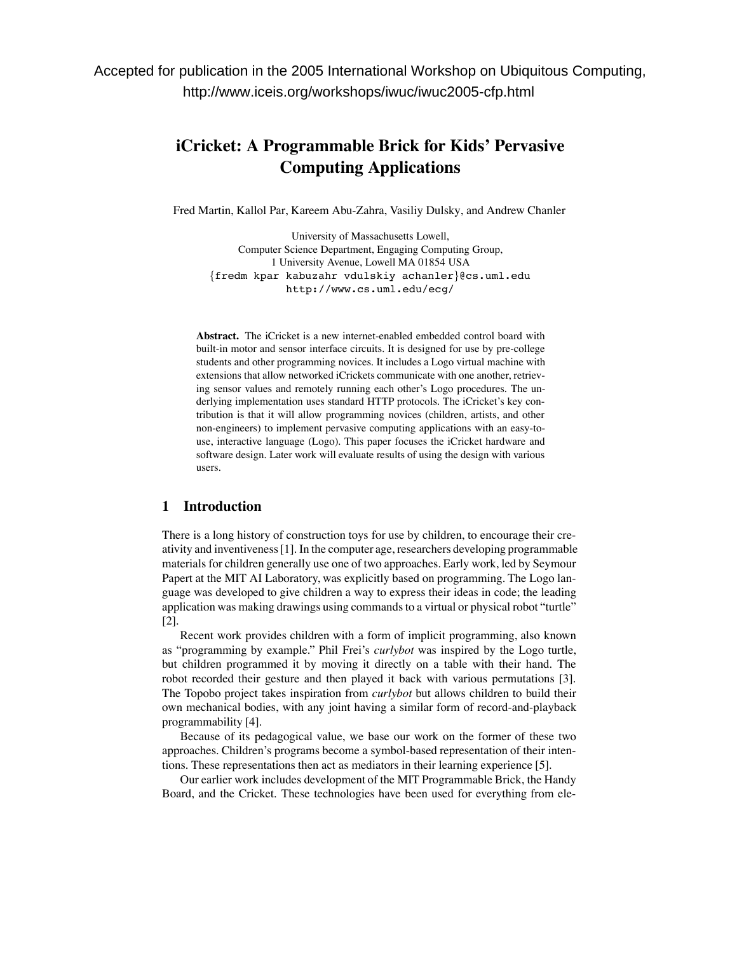# **iCricket: A Programmable Brick for Kids' Pervasive Computing Applications**

Fred Martin, Kallol Par, Kareem Abu-Zahra, Vasiliy Dulsky, and Andrew Chanler

University of Massachusetts Lowell, Computer Science Department, Engaging Computing Group, 1 University Avenue, Lowell MA 01854 USA {fredm kpar kabuzahr vdulskiy achanler}@cs.uml.edu http://www.cs.uml.edu/ecg/

**Abstract.** The iCricket is a new internet-enabled embedded control board with built-in motor and sensor interface circuits. It is designed for use by pre-college students and other programming novices. It includes a Logo virtual machine with extensions that allow networked iCrickets communicate with one another, retrieving sensor values and remotely running each other's Logo procedures. The underlying implementation uses standard HTTP protocols. The iCricket's key contribution is that it will allow programming novices (children, artists, and other non-engineers) to implement pervasive computing applications with an easy-touse, interactive language (Logo). This paper focuses the iCricket hardware and software design. Later work will evaluate results of using the design with various users.

# **1 Introduction**

There is a long history of construction toys for use by children, to encourage their creativity and inventiveness[1]. In the computer age, researchers developing programmable materials for children generally use one of two approaches. Early work, led by Seymour Papert at the MIT AI Laboratory, was explicitly based on programming. The Logo language was developed to give children a way to express their ideas in code; the leading application was making drawings using commandsto a virtual or physical robot "turtle" [2].

Recent work provides children with a form of implicit programming, also known as "programming by example." Phil Frei's *curlybot* was inspired by the Logo turtle, but children programmed it by moving it directly on a table with their hand. The robot recorded their gesture and then played it back with various permutations [3]. The Topobo project takes inspiration from *curlybot* but allows children to build their own mechanical bodies, with any joint having a similar form of record-and-playback programmability [4].

Because of its pedagogical value, we base our work on the former of these two approaches. Children's programs become a symbol-based representation of their intentions. These representations then act as mediators in their learning experience [5].

Our earlier work includes development of the MIT Programmable Brick, the Handy Board, and the Cricket. These technologies have been used for everything from ele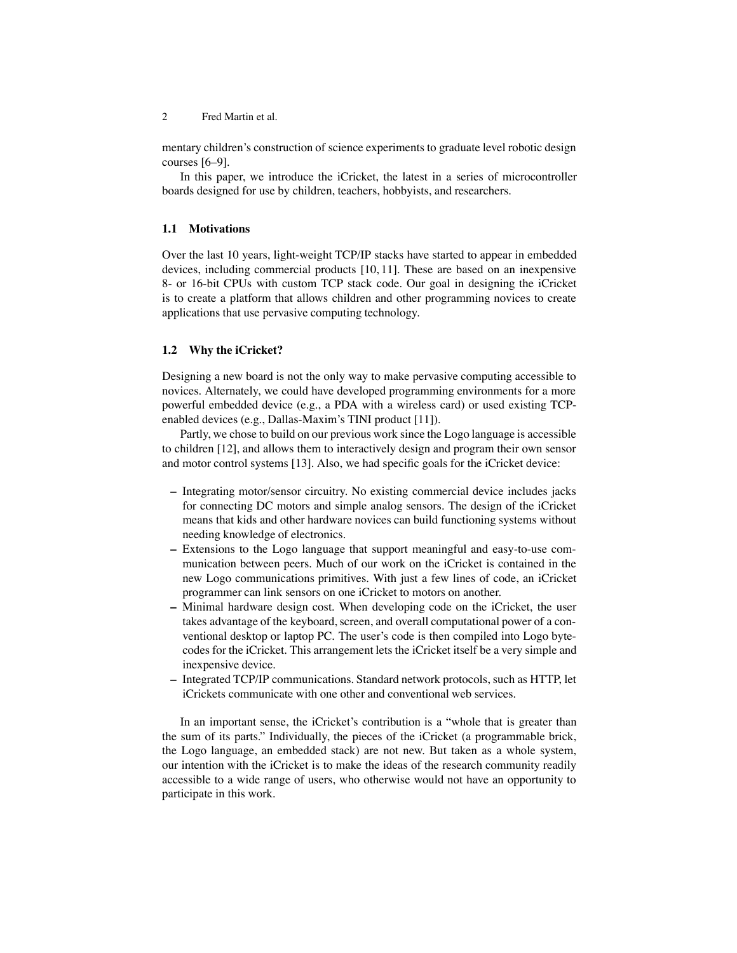2 Fred Martin et al.

mentary children's construction of science experiments to graduate level robotic design courses [6–9].

In this paper, we introduce the iCricket, the latest in a series of microcontroller boards designed for use by children, teachers, hobbyists, and researchers.

## **1.1 Motivations**

Over the last 10 years, light-weight TCP/IP stacks have started to appear in embedded devices, including commercial products [10, 11]. These are based on an inexpensive 8- or 16-bit CPUs with custom TCP stack code. Our goal in designing the iCricket is to create a platform that allows children and other programming novices to create applications that use pervasive computing technology.

## **1.2 Why the iCricket?**

Designing a new board is not the only way to make pervasive computing accessible to novices. Alternately, we could have developed programming environments for a more powerful embedded device (e.g., a PDA with a wireless card) or used existing TCPenabled devices (e.g., Dallas-Maxim's TINI product [11]).

Partly, we chose to build on our previous work since the Logo language is accessible to children [12], and allows them to interactively design and program their own sensor and motor control systems [13]. Also, we had specific goals for the iCricket device:

- **–** Integrating motor/sensor circuitry. No existing commercial device includes jacks for connecting DC motors and simple analog sensors. The design of the iCricket means that kids and other hardware novices can build functioning systems without needing knowledge of electronics.
- **–** Extensions to the Logo language that support meaningful and easy-to-use communication between peers. Much of our work on the iCricket is contained in the new Logo communications primitives. With just a few lines of code, an iCricket programmer can link sensors on one iCricket to motors on another.
- **–** Minimal hardware design cost. When developing code on the iCricket, the user takes advantage of the keyboard, screen, and overall computational power of a conventional desktop or laptop PC. The user's code is then compiled into Logo bytecodes for the iCricket. This arrangement lets the iCricket itself be a very simple and inexpensive device.
- **–** Integrated TCP/IP communications. Standard network protocols, such as HTTP, let iCrickets communicate with one other and conventional web services.

In an important sense, the iCricket's contribution is a "whole that is greater than the sum of its parts." Individually, the pieces of the iCricket (a programmable brick, the Logo language, an embedded stack) are not new. But taken as a whole system, our intention with the iCricket is to make the ideas of the research community readily accessible to a wide range of users, who otherwise would not have an opportunity to participate in this work.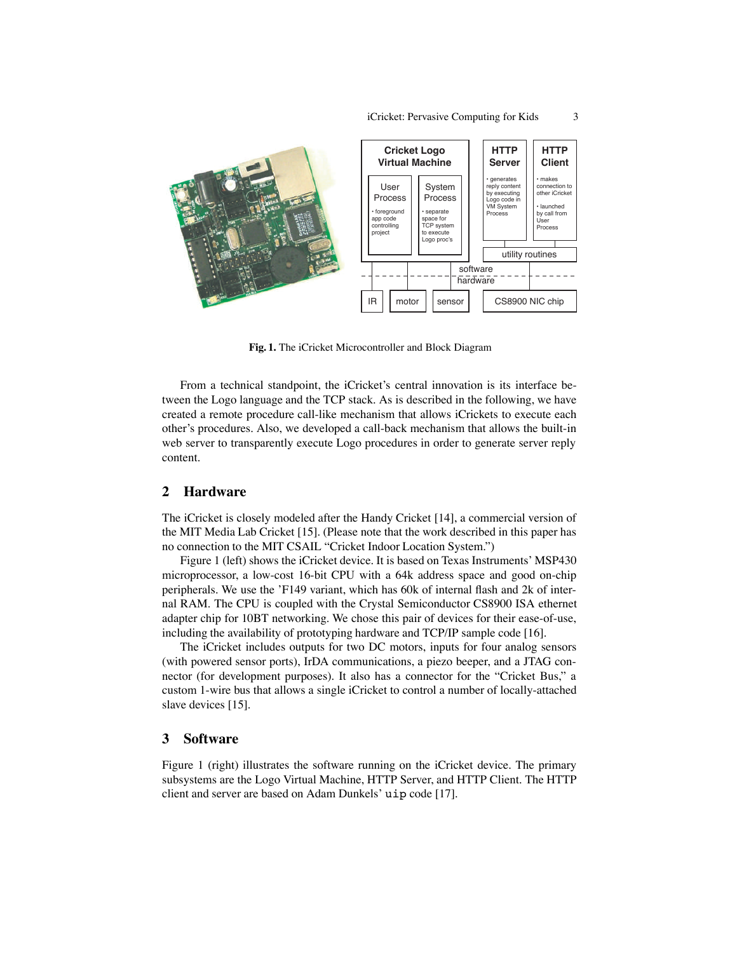

**Fig. 1.** The iCricket Microcontroller and Block Diagram

From a technical standpoint, the iCricket's central innovation is its interface between the Logo language and the TCP stack. As is described in the following, we have created a remote procedure call-like mechanism that allows iCrickets to execute each other's procedures. Also, we developed a call-back mechanism that allows the built-in web server to transparently execute Logo procedures in order to generate server reply content.

# **2 Hardware**

The iCricket is closely modeled after the Handy Cricket [14], a commercial version of the MIT Media Lab Cricket [15]. (Please note that the work described in this paper has no connection to the MIT CSAIL "Cricket Indoor Location System.")

Figure 1 (left) shows the iCricket device. It is based on Texas Instruments' MSP430 microprocessor, a low-cost 16-bit CPU with a 64k address space and good on-chip peripherals. We use the 'F149 variant, which has 60k of internal flash and 2k of internal RAM. The CPU is coupled with the Crystal Semiconductor CS8900 ISA ethernet adapter chip for 10BT networking. We chose this pair of devices for their ease-of-use, including the availability of prototyping hardware and TCP/IP sample code [16].

The iCricket includes outputs for two DC motors, inputs for four analog sensors (with powered sensor ports), IrDA communications, a piezo beeper, and a JTAG connector (for development purposes). It also has a connector for the "Cricket Bus," a custom 1-wire bus that allows a single iCricket to control a number of locally-attached slave devices [15].

## **3 Software**

Figure 1 (right) illustrates the software running on the iCricket device. The primary subsystems are the Logo Virtual Machine, HTTP Server, and HTTP Client. The HTTP client and server are based on Adam Dunkels' uip code [17].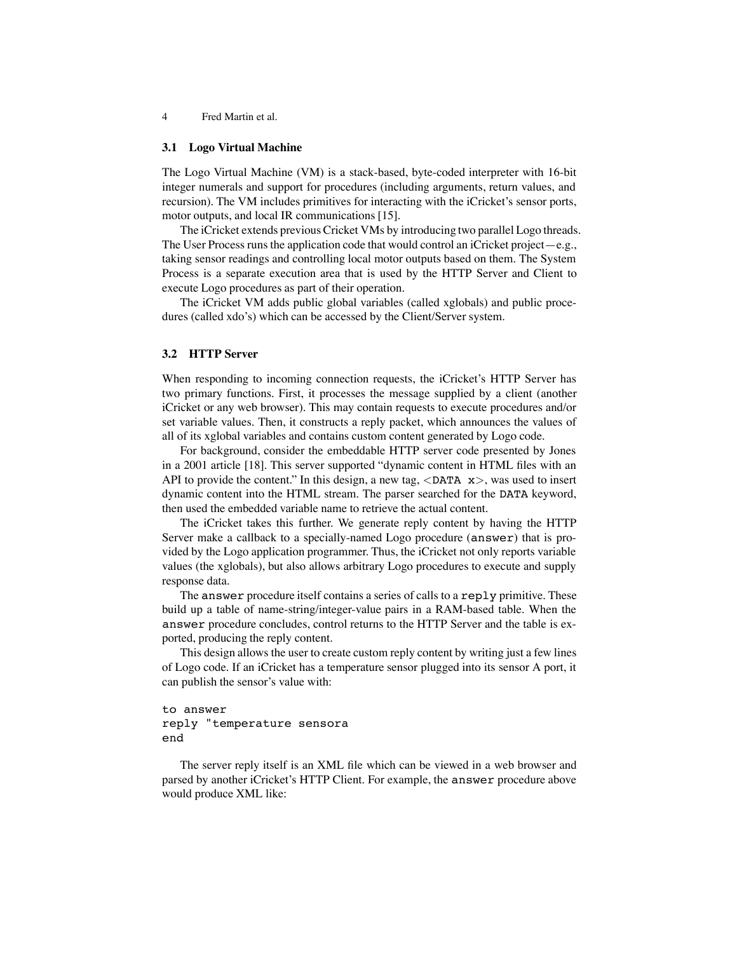4 Fred Martin et al.

#### **3.1 Logo Virtual Machine**

The Logo Virtual Machine (VM) is a stack-based, byte-coded interpreter with 16-bit integer numerals and support for procedures (including arguments, return values, and recursion). The VM includes primitives for interacting with the iCricket's sensor ports, motor outputs, and local IR communications [15].

The iCricket extends previous Cricket VMs by introducing two parallel Logo threads. The User Process runs the application code that would control an iCricket project—e.g., taking sensor readings and controlling local motor outputs based on them. The System Process is a separate execution area that is used by the HTTP Server and Client to execute Logo procedures as part of their operation.

The iCricket VM adds public global variables (called xglobals) and public procedures (called xdo's) which can be accessed by the Client/Server system.

#### **3.2 HTTP Server**

When responding to incoming connection requests, the iCricket's HTTP Server has two primary functions. First, it processes the message supplied by a client (another iCricket or any web browser). This may contain requests to execute procedures and/or set variable values. Then, it constructs a reply packet, which announces the values of all of its xglobal variables and contains custom content generated by Logo code.

For background, consider the embeddable HTTP server code presented by Jones in a 2001 article [18]. This server supported "dynamic content in HTML files with an API to provide the content." In this design, a new tag,  $\triangle$ DATA  $x$ , was used to insert dynamic content into the HTML stream. The parser searched for the DATA keyword, then used the embedded variable name to retrieve the actual content.

The iCricket takes this further. We generate reply content by having the HTTP Server make a callback to a specially-named Logo procedure (answer) that is provided by the Logo application programmer. Thus, the iCricket not only reports variable values (the xglobals), but also allows arbitrary Logo procedures to execute and supply response data.

The answer procedure itself contains a series of calls to a reply primitive. These build up a table of name-string/integer-value pairs in a RAM-based table. When the answer procedure concludes, control returns to the HTTP Server and the table is exported, producing the reply content.

This design allows the user to create custom reply content by writing just a few lines of Logo code. If an iCricket has a temperature sensor plugged into its sensor A port, it can publish the sensor's value with:

# to answer reply "temperature sensora end

The server reply itself is an XML file which can be viewed in a web browser and parsed by another iCricket's HTTP Client. For example, the answer procedure above would produce XML like: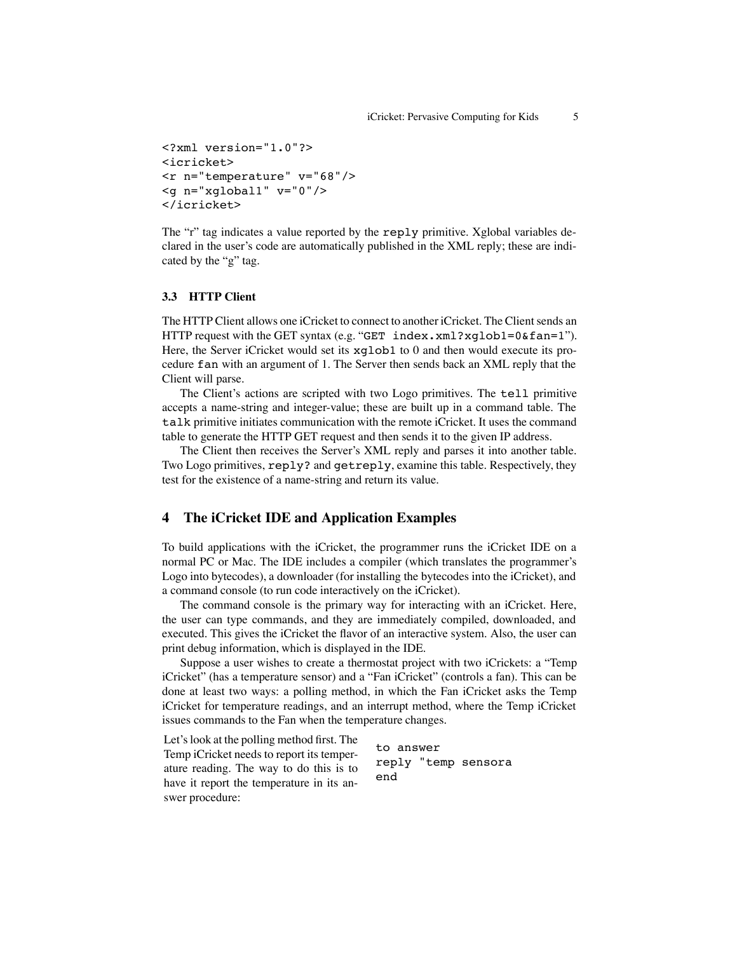```
<?xml version="1.0"?>
<icricket>
<r n="temperature" v="68"/>
<g n="xglobal1" v="0"/>
</icricket>
```
The "r" tag indicates a value reported by the reply primitive. Xglobal variables declared in the user's code are automatically published in the XML reply; these are indicated by the "g" tag.

# **3.3 HTTP Client**

The HTTP Client allows one iCricket to connect to another iCricket. The Client sends an HTTP request with the GET syntax (e.g. "GET index.xml?xglob1=0&fan=1"). Here, the Server iCricket would set its xglob1 to 0 and then would execute its procedure fan with an argument of 1. The Server then sends back an XML reply that the Client will parse.

The Client's actions are scripted with two Logo primitives. The tell primitive accepts a name-string and integer-value; these are built up in a command table. The talk primitive initiates communication with the remote iCricket. It uses the command table to generate the HTTP GET request and then sends it to the given IP address.

The Client then receives the Server's XML reply and parses it into another table. Two Logo primitives, reply? and getreply, examine this table. Respectively, they test for the existence of a name-string and return its value.

# **4 The iCricket IDE and Application Examples**

To build applications with the iCricket, the programmer runs the iCricket IDE on a normal PC or Mac. The IDE includes a compiler (which translates the programmer's Logo into bytecodes), a downloader (for installing the bytecodes into the iCricket), and a command console (to run code interactively on the iCricket).

The command console is the primary way for interacting with an iCricket. Here, the user can type commands, and they are immediately compiled, downloaded, and executed. This gives the iCricket the flavor of an interactive system. Also, the user can print debug information, which is displayed in the IDE.

Suppose a user wishes to create a thermostat project with two iCrickets: a "Temp iCricket" (has a temperature sensor) and a "Fan iCricket" (controls a fan). This can be done at least two ways: a polling method, in which the Fan iCricket asks the Temp iCricket for temperature readings, and an interrupt method, where the Temp iCricket issues commands to the Fan when the temperature changes.

Let's look at the polling method first. The Temp iCricket needs to report its temperature reading. The way to do this is to have it report the temperature in its answer procedure:

to answer reply "temp sensora end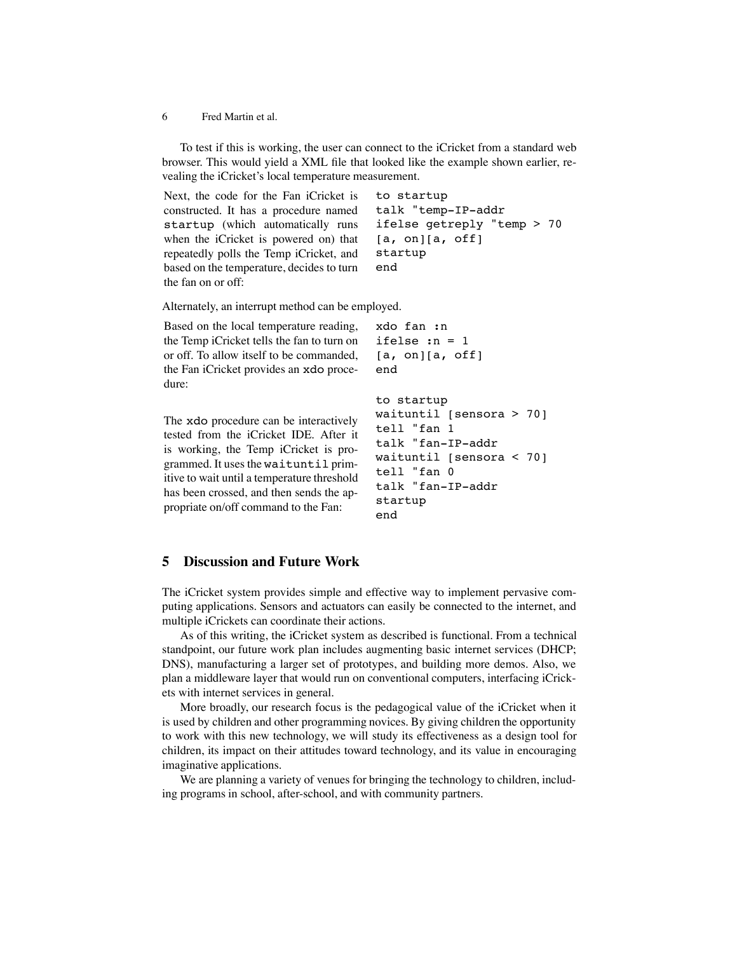6 Fred Martin et al.

To test if this is working, the user can connect to the iCricket from a standard web browser. This would yield a XML file that looked like the example shown earlier, revealing the iCricket's local temperature measurement.

Next, the code for the Fan iCricket is constructed. It has a procedure named startup (which automatically runs when the iCricket is powered on) that repeatedly polls the Temp iCricket, and based on the temperature, decides to turn the fan on or off: to startup talk "temp-IP-addr ifelse getreply "temp > 70  $[a, on][a, off]$ startup end

Alternately, an interrupt method can be employed.

Based on the local temperature reading, the Temp iCricket tells the fan to turn on or off. To allow itself to be commanded, the Fan iCricket provides an xdo procedure: xdo fan :n ifelse :n = 1 [a, on][a, off] end to startup

The xdo procedure can be interactively tested from the iCricket IDE. After it is working, the Temp iCricket is programmed. It uses the waituntil primitive to wait until a temperature threshold has been crossed, and then sends the appropriate on/off command to the Fan:

```
waituntil [sensora > 70]
tell "fan 1
talk "fan-IP-addr
waituntil [sensora < 70]
tell "fan 0
talk "fan-IP-addr
startup
end
```
# **5 Discussion and Future Work**

The iCricket system provides simple and effective way to implement pervasive computing applications. Sensors and actuators can easily be connected to the internet, and multiple iCrickets can coordinate their actions.

As of this writing, the iCricket system as described is functional. From a technical standpoint, our future work plan includes augmenting basic internet services (DHCP; DNS), manufacturing a larger set of prototypes, and building more demos. Also, we plan a middleware layer that would run on conventional computers, interfacing iCrickets with internet services in general.

More broadly, our research focus is the pedagogical value of the iCricket when it is used by children and other programming novices. By giving children the opportunity to work with this new technology, we will study its effectiveness as a design tool for children, its impact on their attitudes toward technology, and its value in encouraging imaginative applications.

We are planning a variety of venues for bringing the technology to children, including programs in school, after-school, and with community partners.